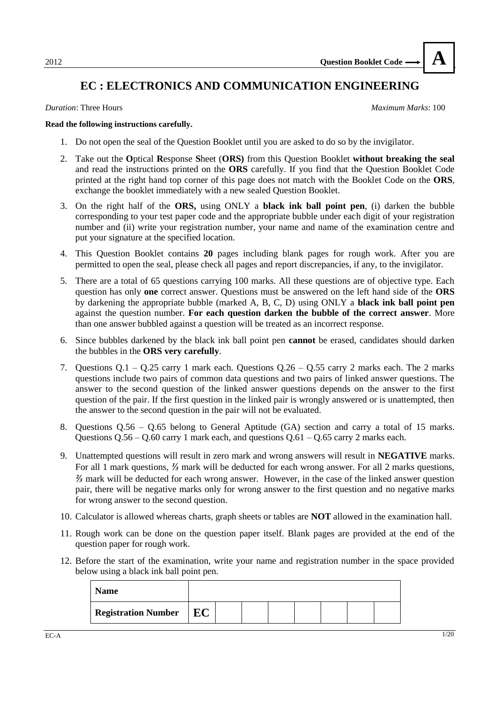## **EC : ELECTRONICS AND COMMUNICATION ENGINEERING**

*Duration*: Three Hours *Maximum Marks*: 100

**A**

#### **Read the following instructions carefully.**

- 1. Do not open the seal of the Question Booklet until you are asked to do so by the invigilator.
- 2. Take out the **O**ptical **R**esponse **S**heet (**ORS)** from this Question Booklet **without breaking the seal**  and read the instructions printed on the **ORS** carefully. If you find that the Question Booklet Code printed at the right hand top corner of this page does not match with the Booklet Code on the **ORS**, exchange the booklet immediately with a new sealed Question Booklet.
- 3. On the right half of the **ORS,** using ONLY a **black ink ball point pen**, (i) darken the bubble corresponding to your test paper code and the appropriate bubble under each digit of your registration number and (ii) write your registration number, your name and name of the examination centre and put your signature at the specified location.
- 4. This Question Booklet contains **20** pages including blank pages for rough work. After you are permitted to open the seal, please check all pages and report discrepancies, if any, to the invigilator.
- 5. There are a total of 65 questions carrying 100 marks. All these questions are of objective type. Each question has only **one** correct answer. Questions must be answered on the left hand side of the **ORS** by darkening the appropriate bubble (marked A, B, C, D) using ONLY a **black ink ball point pen** against the question number. **For each question darken the bubble of the correct answer**. More than one answer bubbled against a question will be treated as an incorrect response.
- 6. Since bubbles darkened by the black ink ball point pen **cannot** be erased, candidates should darken the bubbles in the **ORS very carefully**.
- 7. Questions Q.1 Q.25 carry 1 mark each. Questions Q.26 Q.55 carry 2 marks each. The 2 marks questions include two pairs of common data questions and two pairs of linked answer questions. The answer to the second question of the linked answer questions depends on the answer to the first question of the pair. If the first question in the linked pair is wrongly answered or is unattempted, then the answer to the second question in the pair will not be evaluated.
- 8. Questions Q.56 Q.65 belong to General Aptitude (GA) section and carry a total of 15 marks. Questions  $Q.56 - Q.60$  carry 1 mark each, and questions  $Q.61 - Q.65$  carry 2 marks each.
- 9. Unattempted questions will result in zero mark and wrong answers will result in **NEGATIVE** marks. For all 1 mark questions, *⅓* mark will be deducted for each wrong answer. For all 2 marks questions, *⅔* mark will be deducted for each wrong answer. However, in the case of the linked answer question pair, there will be negative marks only for wrong answer to the first question and no negative marks for wrong answer to the second question.
- 10. Calculator is allowed whereas charts, graph sheets or tables are **NOT** allowed in the examination hall.
- 11. Rough work can be done on the question paper itself. Blank pages are provided at the end of the question paper for rough work.
- 12. Before the start of the examination, write your name and registration number in the space provided below using a black ink ball point pen.

| <b>Name</b>                |    |  |  |  |  |
|----------------------------|----|--|--|--|--|
| <b>Registration Number</b> | EC |  |  |  |  |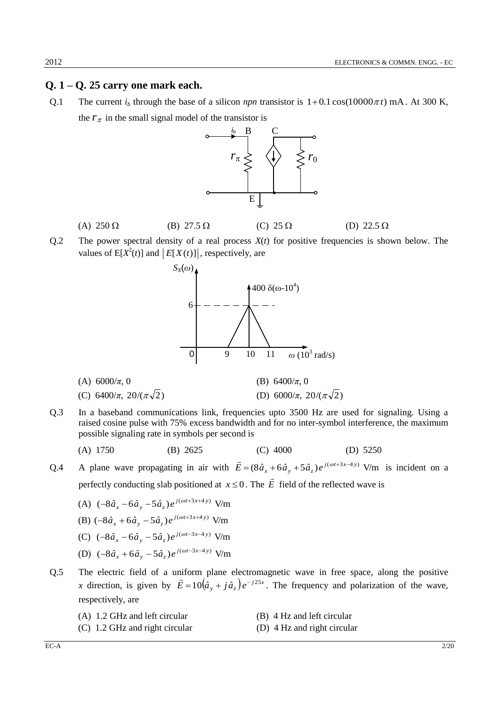### **Q. 1 – Q. 25 carry one mark each.**

Q.1 The current  $i_b$  through the base of a silicon *npn* transistor is  $1+0.1 \cos(10000 \pi t)$  mA. At 300 K, the  $r_{\pi}$  in the small signal model of the transistor is



- (A)  $250 \Omega$  (B)  $27.5 \Omega$  (C)  $25 \Omega$  (D)  $22.5 \Omega$
- Q.2 The power spectral density of a real process *X*(*t*) for positive frequencies is shown below. The values of  $E[X^2(t)]$  and  $|E[X(t)]|$ , respectively, are



(C) 
$$
6400/\pi
$$
,  $20/(\pi\sqrt{2})$   
(D)  $6000/\pi$ ,  $20/(\pi\sqrt{2})$ 

Q.3 In a baseband communications link, frequencies upto 3500 Hz are used for signaling. Using a raised cosine pulse with 75% excess bandwidth and for no inter-symbol interference, the maximum possible signaling rate in symbols per second is

(A) 1750 (B) 2625 (C) 4000 (D) 5250

Q.4 A plane wave propagating in air with  $\vec{E} = (8\hat{a}_x + 6\hat{a}_y + 5\hat{a}_z)e^{j(\omega t + 3x - 4y)}$  V/m is incident on a perfectly conducting slab positioned at  $x \leq 0$ . The  $\overrightarrow{E}$  $\rightarrow$ field of the reflected wave is

- (A)  $(-8\hat{a}_x 6\hat{a}_y 5\hat{a}_z)e^{j(\omega t + 3x + 4y)}$  V/m
- (B)  $(-8\hat{a}_x + 6\hat{a}_y 5\hat{a}_z)e^{j(\omega t + 3x + 4y)}$  V/m
- (C)  $(-8\hat{a}_x 6\hat{a}_y 5\hat{a}_z)e^{j(\omega t 3x 4y)}$  V/m
- (D)  $(-8\hat{a}_x + 6\hat{a}_y 5\hat{a}_z)e^{j(\omega t 3x 4y)}$  V/m
- Q.5 The electric field of a uniform plane electromagnetic wave in free space, along the positive *x* direction, is given by  $\vec{E} = 10(\hat{a}_y + j\hat{a}_z)e^{-j25x}$ . The frequency and polarization of the wave, respectively, are
	- (A) 1.2 GHz and left circular (B) 4 Hz and left circular
	- (C) 1.2 GHz and right circular (D) 4 Hz and right circular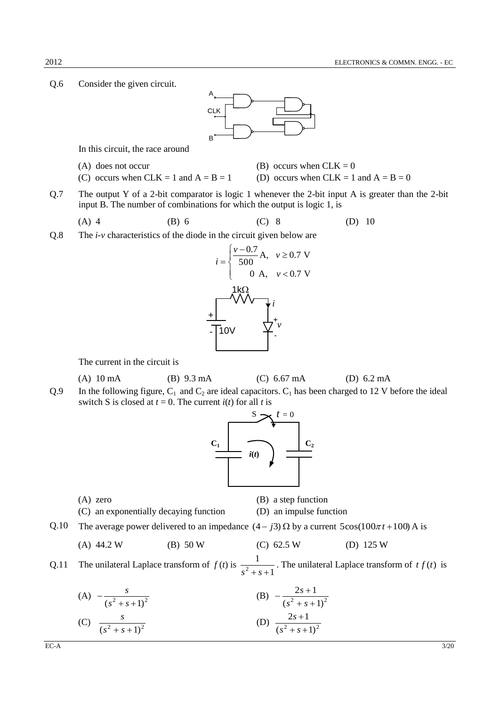Q.6 Consider the given circuit.



In this circuit, the race around

(A) does not occur (B) occurs when  $CLK = 0$ 

- (C) occurs when CLK = 1 and  $A = B = 1$  (D) occurs when CLK = 1 and  $A = B = 0$
- Q.7 The output Y of a 2-bit comparator is logic 1 whenever the 2-bit input A is greater than the 2-bit input B. The number of combinations for which the output is logic 1, is

(A) 4 (B) 6 (C) 8 (D) 10

Q.8 The *i-v* characteristics of the diode in the circuit given below are



The current in the circuit is

- (A) 10 mA (B) 9.3 mA (C) 6.67 mA (D) 6.2 mA
- Q.9 In the following figure,  $C_1$  and  $C_2$  are ideal capacitors.  $C_1$  has been charged to 12 V before the ideal switch S is closed at  $t = 0$ . The current  $i(t)$  for all t is



- (A) zero (B) a step function (C) an exponentially decaying function (D) an impulse function
- Q.10 The average power delivered to an impedance  $(4 j3) \Omega$  by a current  $5\cos(100\pi t + 100)$  A is
	- (A) 44.2 W (B) 50 W (C) 62.5 W (D) 125 W

Q.11 The unilateral Laplace transform of  $f(t)$  is 1 1  $s^2 + s +$ . The unilateral Laplace transform of  $tf(t)$  is

(A) 
$$
-\frac{s}{(s^2 + s + 1)^2}
$$
  
\n(B)  $-\frac{2s + 1}{(s^2 + s + 1)^2}$   
\n(C)  $\frac{s}{(s^2 + s + 1)^2}$   
\n(D)  $\frac{2s + 1}{(s^2 + s + 1)^2}$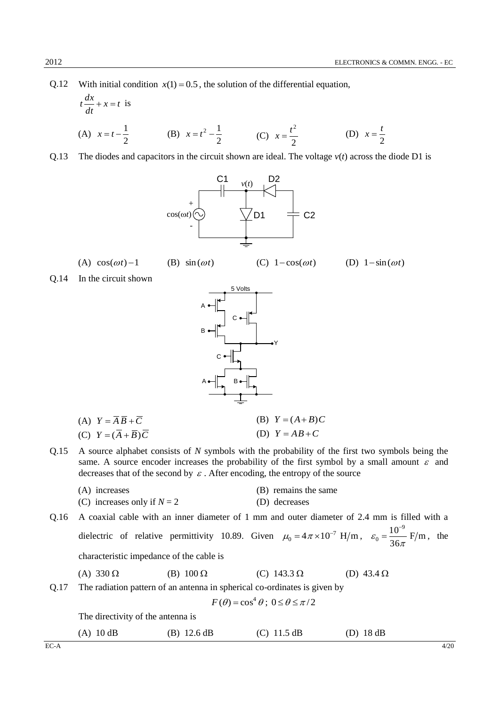2 *t*

Q.12 With initial condition  $x(1) = 0.5$ , the solution of the differential equation,

 $(B)$  sin $(\omega t)$ 

$$
t\frac{dx}{dt} + x = t \text{ is}
$$
  
(A)  $x = t - \frac{1}{2}$  (B)  $x = t^2 - \frac{1}{2}$  (C)  $x = \frac{t^2}{2}$  (D)  $x =$ 

Q.13 The diodes and capacitors in the circuit shown are ideal. The voltage  $v(t)$  across the diode D1 is



(A)  $cos(\omega t) - 1$ 

 $(C)$  1  $-cos(\omega t)$ 

(D)  $1-\sin(\omega t)$ 

Q.14 In the circuit shown



| (A) $Y = AB + C$              | (B) $Y = (A + B)C$ |
|-------------------------------|--------------------|
| (C) $Y = (A + \overline{B})C$ | (D) $Y = AB + C$   |

Q.15 A source alphabet consists of *N* symbols with the probability of the first two symbols being the same. A source encoder increases the probability of the first symbol by a small amount  $\varepsilon$  and decreases that of the second by  $\varepsilon$ . After encoding, the entropy of the source

| (A) increases                 | (B) remains the same |
|-------------------------------|----------------------|
| (C) increases only if $N = 2$ | (D) decreases        |

Q.16 A coaxial cable with an inner diameter of 1 mm and outer diameter of 2.4 mm is filled with a dielectric of relative permittivity 10.89. Given  $\mu_0 = 4\pi \times 10^{-7}$  H/m,  $\varepsilon_0 = \frac{10}{36\pi}$  F/m 36  $10^{-9}$  $0 - \frac{1}{36\pi}$ ε F  $=\frac{10}{2}$  F/m, the characteristic impedance of the cable is

(A) 330  $\Omega$  (B) 100  $\Omega$  (C) 143.3  $\Omega$  (D) 43.4  $\Omega$ 

Q.17 The radiation pattern of an antenna in spherical co-ordinates is given by

$$
F(\theta) = \cos^4 \theta \, ; \, 0 \le \theta \le \pi/2
$$

The directivity of the antenna is

| $(A)$ 10 dB | $(B)$ 12.6 dB | (C) $11.5 dB$ | $(D)$ 18 dB |
|-------------|---------------|---------------|-------------|
|-------------|---------------|---------------|-------------|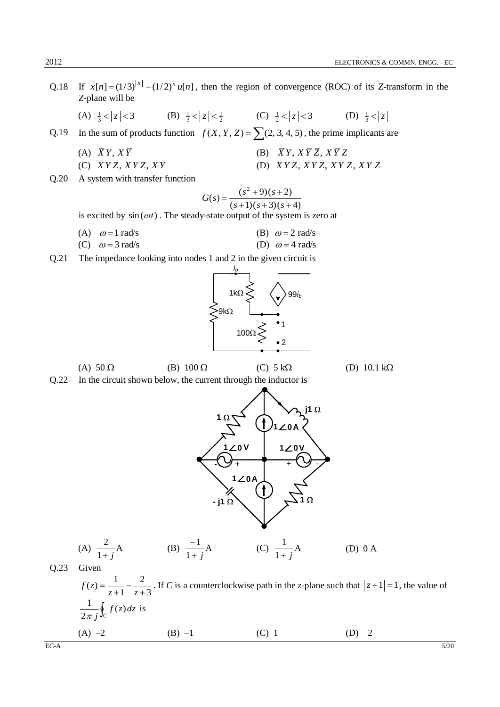|      | Q.18 If $x[n] = (1/3)^{ n } - (1/2)^n u[n]$ , then the region of convergence (ROC) of its Z-transform in the<br>Z-plane will be |                                                                                            |  |
|------|---------------------------------------------------------------------------------------------------------------------------------|--------------------------------------------------------------------------------------------|--|
|      | (A) $\frac{1}{3} <  z  < 3$ (B) $\frac{1}{3} <  z  < \frac{1}{2}$ (C) $\frac{1}{2} <  z  < 3$ (D) $\frac{1}{3} <  z $           |                                                                                            |  |
| Q.19 | In the sum of products function $f(X, Y, Z) = \sum (2, 3, 4, 5)$ , the prime implicants are                                     |                                                                                            |  |
|      | (A) $\overline{X}Y, X\overline{Y}$                                                                                              | (B) $\overline{X}Y, X\overline{Y}\overline{Z}, X\overline{Y}Z$                             |  |
|      | (C) $\overline{X} Y \overline{Z}, \overline{X} Y Z, X \overline{Y}$                                                             | (D) $\overline{X}Y\overline{Z}, \overline{X}YZ, X\overline{Y}\overline{Z}, X\overline{Y}Z$ |  |
| Q.20 | A system with transfer function                                                                                                 |                                                                                            |  |
|      | is excited by $sin(\omega t)$ . The steady-state output of the system is zero at                                                | $G(s) = \frac{(s^2+9)(s+2)}{(s+1)(s+3)(s+4)}$                                              |  |
|      |                                                                                                                                 |                                                                                            |  |
|      | (A) $\omega = 1$ rad/s                                                                                                          | (B) $\omega = 2$ rad/s                                                                     |  |
|      | (C) $\omega = 3$ rad/s                                                                                                          | (D) $\omega = 4$ rad/s                                                                     |  |
| Q.21 | The impedance looking into nodes 1 and 2 in the given circuit is                                                                |                                                                                            |  |
|      |                                                                                                                                 |                                                                                            |  |

$$
\left\{\n\begin{array}{c}\n1k\Omega \leq \left(\n\begin{array}{c}\n\downarrow\n\end{array}\n\right) 99i_b \\
\searrow 9k\Omega\n\end{array}\n\right.\n\left.\n\begin{array}{c}\n100\Omega \leq \left(\n\begin{array}{c}\n\downarrow\n\end{array}\n\right)\n\end{array}\n\right.
$$

1 $\Omega$ 

**∠**<sup>o</sup> ∨

(A)  $50 \Omega$  (B)  $100 \Omega$  (C)  $5 k\Omega$  (D)  $10.1 k\Omega$ 

(D) 0 A

**j1**

 $1 \angle 0A$ 

Q.22 In the circuit shown below, the current through the inductor is

1 $\Omega$  $-$  **j1**  $\Omega$ **A**  $\begin{bmatrix} 1 & 0 & 1 & 1 & 0 \\ 1 & 1 & 1 & 1 & 0 \\ 0 & 0 & 0 & 0 \\ 0 & 0 & 0 & 0 \\ 0 & 0 & 0 & 0 \\ 0 & 0 & 0 & 0 \\ 0 & 0 & 0 & 0 \\ 0 & 0 & 0 & 0 \\ 0 & 0 & 0 & 0 \\ 0 & 0 & 0 & 0 \\ 0 & 0 & 0 & 0 \\ 0 & 0 & 0 & 0 \\ 0 & 0 & 0 & 0 \\ 0 & 0 & 0 & 0 \\ 0 & 0 & 0 & 0 & 0 \\ 0 & 0 & 0 & 0 & 0 \\ 0 & 0 & 0 &$  $\begin{array}{c|c} 20 \vee & 1 \angle 0 \\ + & + & \end{array}$ (A) A 1 2 *j*  $(B) \frac{1}{1}A$ 1 1 *j*  $\frac{-1}{\cdots}$ A (C)  $\frac{1}{\cdots}$ A 1 1 *j*

$$
(A) \frac{-}{1+}
$$

Q.23 Given 3 2 1  $(z) = \frac{1}{1}$  $^{+}$  $\overline{a}$  $\ddot{}$  $=$ *z z*  $f(z) = \frac{1}{z-1} - \frac{2}{z-1}$ . If *C* is a counterclockwise path in the *z*-plane such that  $|z+1|=1$ , the value of  $\oint_C f(z) dz$ *j*  $(z)$ 2 1  $\frac{1}{\pi i} \oint_C f(z) dz$  is (A)  $-2$  (B)  $-1$  (C) 1 (D) 2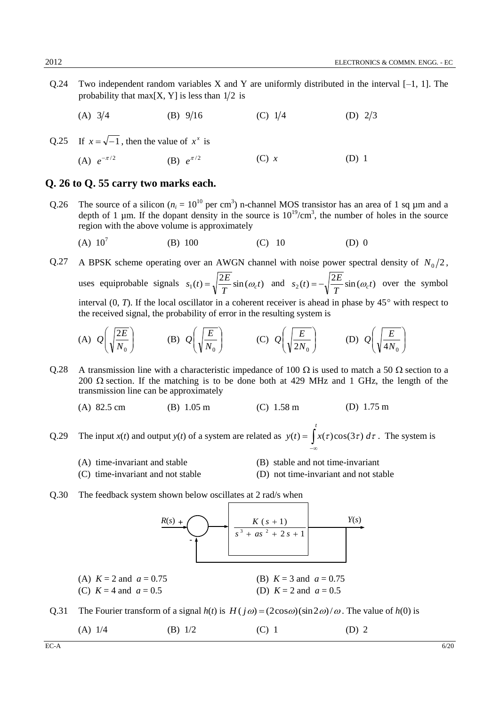Q.24 Two independent random variables X and Y are uniformly distributed in the interval  $[-1, 1]$ . The probability that max $[X, Y]$  is less than  $1/2$  is

 $(A)$  3/4 (B)  $9/16$  $(C)$  1/4 (D)  $2/3$ 

Q.25 If  $x = \sqrt{-1}$ , then the value of  $x^x$  is

(A)  $e^{-\pi/2}$ (B)  $e^{\pi/2}$ (C) *x* (D) 1

#### **Q. 26 to Q. 55 carry two marks each.**

- Q.26 The source of a silicon ( $n_i = 10^{10}$  per cm<sup>3</sup>) n-channel MOS transistor has an area of 1 sq  $\mu$ m and a depth of 1  $\mu$ m. If the dopant density in the source is  $10^{19}/\text{cm}^3$ , the number of holes in the source region with the above volume is approximately
	- $(A) 10^7$ (B) 100 (C) 10 (D) 0
- Q.27 A BPSK scheme operating over an AWGN channel with noise power spectral density of  $N_0/2$ , uses equiprobable signals  $s_1(t) = \sqrt{\frac{2E}{T}} \sin(\omega_c t)$ *T*  $s_1(t) = \sqrt{\frac{2E}{T}} \sin(\omega_c t)$  and  $s_2(t) = -\sqrt{\frac{2E}{T}} \sin(\omega_c t)$ *T*  $s_2(t) = -\sqrt{\frac{2E}{T}} \sin(\omega_c t)$  over the symbol interval  $(0, T)$ . If the local oscillator in a coherent receiver is ahead in phase by  $45^{\circ}$  with respect to the received signal, the probability of error in the resulting system is

(A) 
$$
Q\left(\sqrt{\frac{2E}{N_0}}\right)
$$
 (B)  $Q\left(\sqrt{\frac{E}{N_0}}\right)$  (C)  $Q\left(\sqrt{\frac{E}{2N_0}}\right)$  (D)  $Q\left(\sqrt{\frac{E}{4N_0}}\right)$ 

- 0.28 A transmission line with a characteristic impedance of 100  $\Omega$  is used to match a 50  $\Omega$  section to a 200  $\Omega$  section. If the matching is to be done both at 429 MHz and 1 GHz, the length of the transmission line can be approximately
	- (A) 82.5 cm (B) 1.05 m (C) 1.58 m (D) 1.75 m

Q.29 The input *x*(*t*) and output *y*(*t*) of a system are related as  $y(t) = \int x(\tau)\cos(3\tau) d\tau$ . The system is  $-\infty$ *t*

- (A) time-invariant and stable (B) stable and not time-invariant
- (C) time-invariant and not stable (D) not time-invariant and not stable
- Q.30 The feedback system shown below oscillates at 2 rad/s when



- Q.31 The Fourier transform of a signal  $h(t)$  is  $H(j\omega) = (2\cos\omega)(\sin 2\omega)/\omega$ . The value of  $h(0)$  is
	- (A)  $1/4$  (B)  $1/2$  (C) 1 (D) 2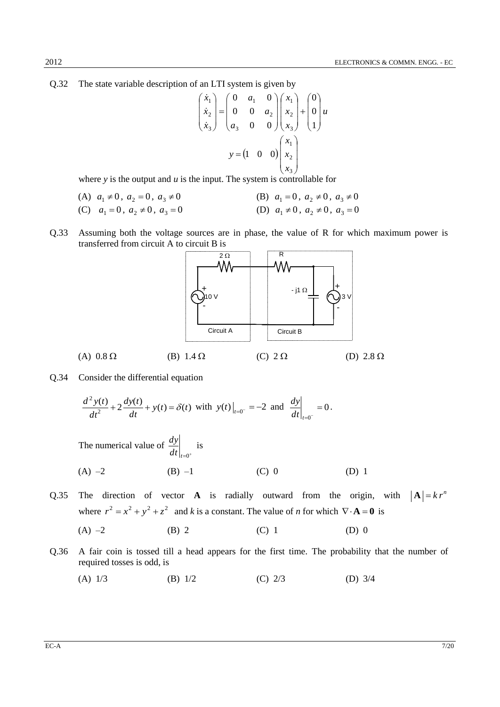Q.32 The state variable description of an LTI system is given by

$$
\begin{pmatrix} \dot{x}_1 \\ \dot{x}_2 \\ \dot{x}_3 \end{pmatrix} = \begin{pmatrix} 0 & a_1 & 0 \\ 0 & 0 & a_2 \\ a_3 & 0 & 0 \end{pmatrix} \begin{pmatrix} x_1 \\ x_2 \\ x_3 \end{pmatrix} + \begin{pmatrix} 0 \\ 0 \\ 1 \end{pmatrix} u
$$

$$
y = \begin{pmatrix} 1 & 0 & 0 \end{pmatrix} \begin{pmatrix} x_1 \\ x_2 \\ x_3 \end{pmatrix}
$$

where *y* is the output and *u* is the input. The system is controllable for

(A) 
$$
a_1 \neq 0
$$
,  $a_2 = 0$ ,  $a_3 \neq 0$   
\n(B)  $a_1 = 0$ ,  $a_2 \neq 0$ ,  $a_3 \neq 0$   
\n(C)  $a_1 = 0$ ,  $a_2 \neq 0$ ,  $a_3 = 0$   
\n(D)  $a_1 \neq 0$ ,  $a_2 \neq 0$ ,  $a_3 = 0$ 

Q.33 Assuming both the voltage sources are in phase, the value of R for which maximum power is transferred from circuit A to circuit B is



Q.34 Consider the differential equation

$$
\frac{d^2 y(t)}{dt^2} + 2 \frac{dy(t)}{dt} + y(t) = \delta(t) \text{ with } y(t)\big|_{t=0^-} = -2 \text{ and } \frac{dy}{dt}\big|_{t=0^-} = 0.
$$

The numerical value of  $\frac{dy}{dt}\Big|_{t=0^+}$  $\frac{dy}{dx}$  is

(A) –2 (B) –1 (C) 0 (D) 1

- Q.35 The direction of vector **A** is radially outward from the origin, with  $|\mathbf{A}| = k r^n$ where  $r^2 = x^2 + y^2 + z^2$  and *k* is a constant. The value of *n* for which  $\nabla \cdot \mathbf{A} = \mathbf{0}$  is
	- (A)  $-2$  (B) 2 (C) 1 (D) 0
- Q.36 A fair coin is tossed till a head appears for the first time. The probability that the number of required tosses is odd, is
	- (A) 1/3 (B) 1/2 (C) 2/3 (D) 3/4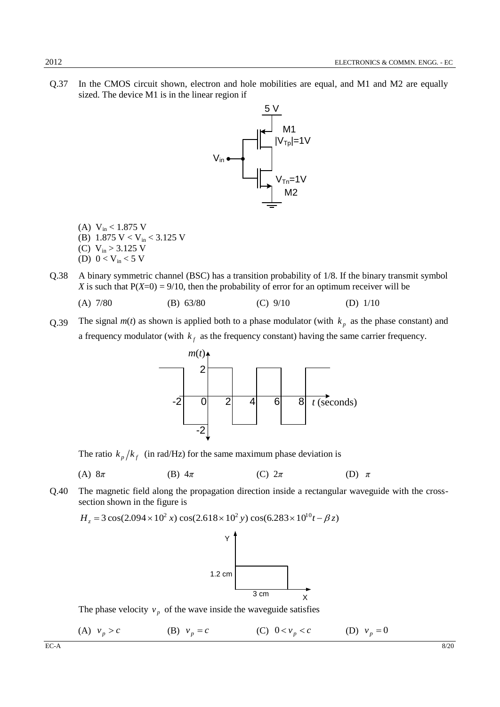Q.37 In the CMOS circuit shown, electron and hole mobilities are equal, and M1 and M2 are equally sized. The device M1 is in the linear region if



- (A)  $V_{in}$  < 1.875 V
- (B) 1.875 V < V<sub>in</sub> < 3.125 V
- (C)  $V_{in} > 3.125$  V
- (D)  $0 < V_{in} < 5 V$
- Q.38 A binary symmetric channel (BSC) has a transition probability of 1/8. If the binary transmit symbol *X* is such that  $P(X=0) = 9/10$ , then the probability of error for an optimum receiver will be
	- (A) 7/80 (B) 63/80 (C) 9/10 (D) 1/10
- Q.39 The signal  $m(t)$  as shown is applied both to a phase modulator (with  $k_p$  as the phase constant) and a frequency modulator (with  $k_f$  as the frequency constant) having the same carrier frequency.



The ratio  $k_p/k_f$  (in rad/Hz) for the same maximum phase deviation is

(A) 8*π* (B) 4*π* (C) 2*π* (D) *π*

Q.40 The magnetic field along the propagation direction inside a rectangular waveguide with the crosssection shown in the figure is<br>  $H_z = 3 \cos(2.094 \times 10^2 x) \cos(2.618 \times 10^2 y) \cos(6.283 \times 10^{10} t - \beta z)$ 

$$
H_z = 3\cos(2.094 \times 10^2 x) \cos(2.618 \times 10^2 y) \cos(6.283 \times 10^{10} t - \beta z)
$$



The phase velocity  $v_p$  of the wave inside the waveguide satisfies

(A)  $v_p > c$ (B)  $v_p = c$ (C)  $0 < v_p < c$ (D)  $v_p = 0$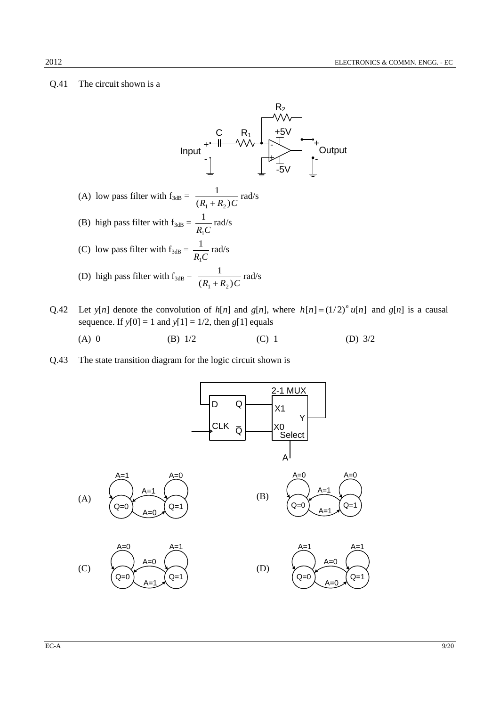#### Q.41 The circuit shown is a



- Q.42 Let  $y[n]$  denote the convolution of  $h[n]$  and  $g[n]$ , where  $h[n] = (1/2)^n u[n]$  and  $g[n]$  is a causal sequence. If  $y[0] = 1$  and  $y[1] = 1/2$ , then  $g[1]$  equals
	- (A) 0 (B)  $1/2$  (C) 1 (D)  $3/2$
- Q.43 The state transition diagram for the logic circuit shown is

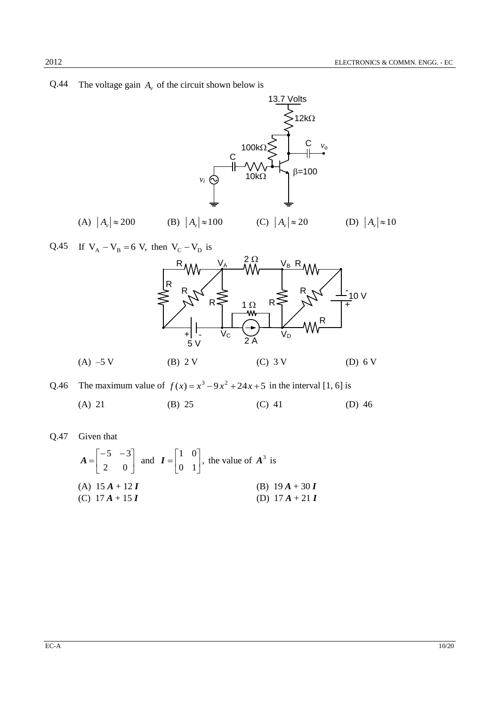Q.44 The voltage gain  $A_v$  of the circuit shown below is



Q.45 If 
$$
V_A - V_B = 6
$$
 V, then  $V_C - V_D$  is



Q.46 The maximum value of  $f(x) = x^3 - 9x^2 + 24x + 5$  in the interval [1, 6] is (A) 21 (B) 25 (C) 41 (D) 46

Q.47 Given that

$$
A = \begin{bmatrix} -5 & -3 \\ 2 & 0 \end{bmatrix} \text{ and } I = \begin{bmatrix} 1 & 0 \\ 0 & 1 \end{bmatrix}, \text{ the value of } A^3 \text{ is}
$$
  
\n(A)  $15A + 12I$   
\n(B)  $19A + 30I$   
\n(C)  $17A + 15I$   
\n(D)  $17A + 21I$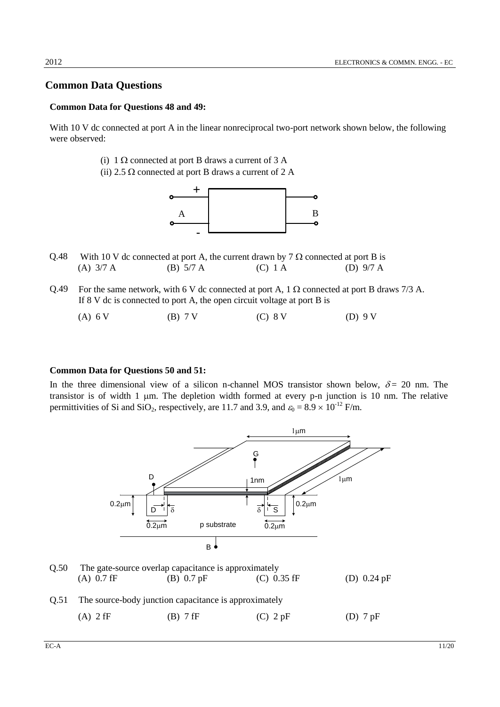### **Common Data Questions**

### **Common Data for Questions 48 and 49:**

With 10 V dc connected at port A in the linear nonreciprocal two-port network shown below, the following were observed:

- (i)  $1 \Omega$  connected at port B draws a current of 3 A
- (ii) 2.5  $\Omega$  connected at port B draws a current of 2 A



- Q.48 With 10 V dc connected at port A, the current drawn by  $7 \Omega$  connected at port B is (A) 3/7 A (B) 5/7 A (C) 1 A (D) 9/7 A
- Q.49 For the same network, with 6 V dc connected at port A, 1  $\Omega$  connected at port B draws 7/3 A. If 8 V dc is connected to port A, the open circuit voltage at port B is
	- (A) 6 V (B) 7 V (C) 8 V (D) 9 V

#### **Common Data for Questions 50 and 51:**

In the three dimensional view of a silicon n-channel MOS transistor shown below,  $\delta = 20$  nm. The transistor is of width  $1 \mu m$ . The depletion width formed at every p-n junction is  $10 \ nm$ . The relative permittivities of Si and SiO<sub>2</sub>, respectively, are 11.7 and 3.9, and  $\varepsilon_0 = 8.9 \times 10^{-12}$  F/m.



| O.50 | The gate-source overlap capacitance is approximately |                                                            |               |               |  |  |  |
|------|------------------------------------------------------|------------------------------------------------------------|---------------|---------------|--|--|--|
|      | $(A)$ 0.7 fF                                         | (B) $0.7$ pF                                               | $(C)$ 0.35 fF | (D) $0.24$ pF |  |  |  |
|      |                                                      | Q.51 The source-body junction capacitance is approximately |               |               |  |  |  |
|      | $(A)$ 2 fF                                           | $(B)$ 7 fF                                                 | $(C)$ 2 pF    | $(D)$ 7 pF    |  |  |  |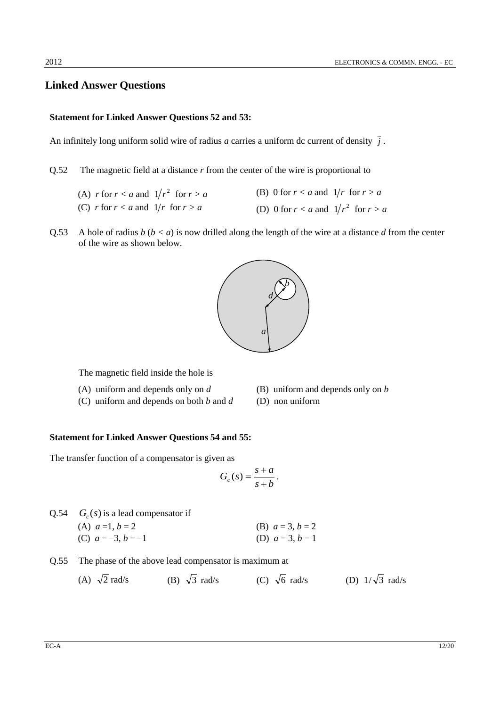### **Linked Answer Questions**

#### **Statement for Linked Answer Questions 52 and 53:**

An infinitely long uniform solid wire of radius *a* carries a uniform dc current of density *j*  $\rightarrow$ .

Q.52 The magnetic field at a distance *r* from the center of the wire is proportional to

| (A) r for $r < a$ and $1/r^2$ for $r > a$ | (B) 0 for $r < a$ and $1/r$ for $r > a$   |  |
|-------------------------------------------|-------------------------------------------|--|
| (C) r for $r < a$ and $1/r$ for $r > a$   | (D) 0 for $r < a$ and $1/r^2$ for $r > a$ |  |

Q.53 A hole of radius  $b (b < a)$  is now drilled along the length of the wire at a distance d from the center of the wire as shown below.



The magnetic field inside the hole is

- (A) uniform and depends only on *d* (B) uniform and depends only on *b*
- (C) uniform and depends on both *b* and *d* (D) non uniform
- -

#### **Statement for Linked Answer Questions 54 and 55:**

The transfer function of a compensator is given as

$$
G_c(s) = \frac{s+a}{s+b}.
$$

| Q.54 $G_c(s)$ is a lead compensator if |                    |
|----------------------------------------|--------------------|
| (A) $a=1, b=2$                         | (B) $a = 3, b = 2$ |
| (C) $a = -3, b = -1$                   | (D) $a = 3, b = 1$ |

- Q.55 The phase of the above lead compensator is maximum at
	- $(A) \sqrt{2}$ rad/s (B)  $\sqrt{3}$ rad/s (C)  $\sqrt{6}$ rad/s (D)  $1/\sqrt{3}$  rad/s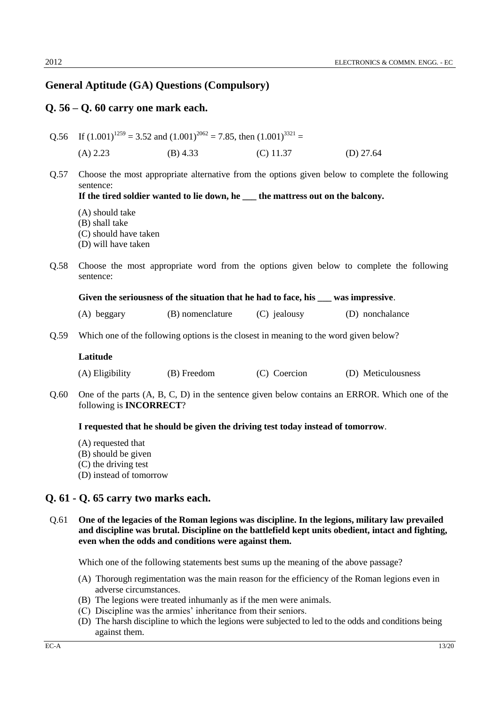### **General Aptitude (GA) Questions (Compulsory)**

### **Q. 56 – Q. 60 carry one mark each.**

Q.56 If  $(1.001)^{1259}$  = 3.52 and  $(1.001)^{2062}$  = 7.85, then  $(1.001)^{3321}$  = (A) 2.23 (B) 4.33 (C) 11.37 (D) 27.64

Q.57 Choose the most appropriate alternative from the options given below to complete the following sentence:

**If the tired soldier wanted to lie down, he \_\_\_ the mattress out on the balcony.**

- (A) should take
- (B) shall take
- (C) should have taken
- (D) will have taken
- Q.58 Choose the most appropriate word from the options given below to complete the following sentence:

| Given the seriousness of the situation that he had to face, his |  |  |  | was impressive. |
|-----------------------------------------------------------------|--|--|--|-----------------|
|                                                                 |  |  |  |                 |

- (A) beggary (B) nomenclature (C) jealousy (D) nonchalance
- Q.59 Which one of the following options is the closest in meaning to the word given below?

#### **Latitude**

- (A) Eligibility (B) Freedom (C) Coercion (D) Meticulousness
- Q.60 One of the parts (A, B, C, D) in the sentence given below contains an ERROR. Which one of the following is **INCORRECT**?

#### **I requested that he should be given the driving test today instead of tomorrow**.

- (A) requested that
- (B) should be given
- (C) the driving test
- (D) instead of tomorrow

### **Q. 61 - Q. 65 carry two marks each.**

Q.61 **One of the legacies of the Roman legions was discipline. In the legions, military law prevailed and discipline was brutal. Discipline on the battlefield kept units obedient, intact and fighting, even when the odds and conditions were against them.** 

Which one of the following statements best sums up the meaning of the above passage?

- (A) Thorough regimentation was the main reason for the efficiency of the Roman legions even in adverse circumstances.
- (B) The legions were treated inhumanly as if the men were animals.
- (C) Discipline was the armies' inheritance from their seniors.
- (D) The harsh discipline to which the legions were subjected to led to the odds and conditions being against them.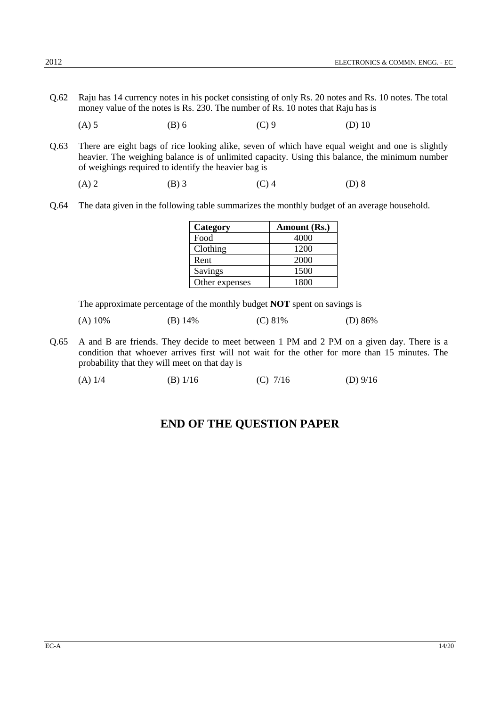- Q.62 Raju has 14 currency notes in his pocket consisting of only Rs. 20 notes and Rs. 10 notes. The total money value of the notes is Rs. 230. The number of Rs. 10 notes that Raju has is
	- (A) 5 (B) 6 (C) 9 (D) 10
- Q.63 There are eight bags of rice looking alike, seven of which have equal weight and one is slightly heavier. The weighing balance is of unlimited capacity. Using this balance, the minimum number of weighings required to identify the heavier bag is
	- (A) 2 (B) 3 (C) 4 (D) 8
- Q.64 The data given in the following table summarizes the monthly budget of an average household.

| Category       | Amount (Rs.) |
|----------------|--------------|
| Food           | 4000         |
| Clothing       | 1200         |
| Rent           | 2000         |
| Savings        | 1500         |
| Other expenses | 1800         |

The approximate percentage of the monthly budget **NOT** spent on savings is

| $(A)$ 10% | (B) $14%$ | (C) 81% | (D) $86\%$ |
|-----------|-----------|---------|------------|
|           |           |         |            |

- Q.65 A and B are friends. They decide to meet between 1 PM and 2 PM on a given day. There is a condition that whoever arrives first will not wait for the other for more than 15 minutes. The probability that they will meet on that day is
	- (A) 1/4 (B) 1/16 (C) 7/16 (D) 9/16

## **END OF THE QUESTION PAPER**